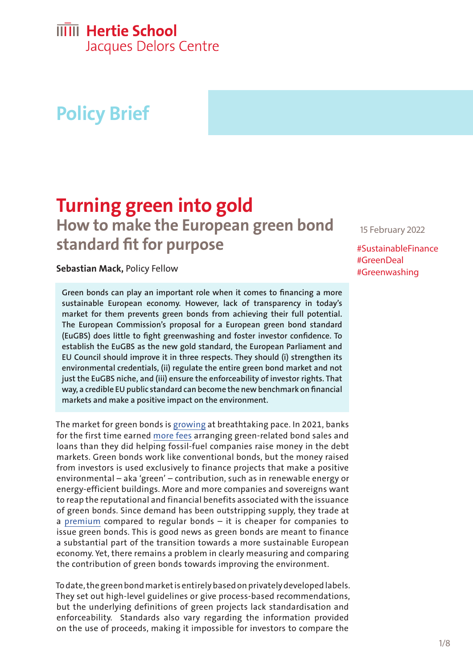## **IIIII** Hertie School

Jacques Delors Centre

# **Policy Brief**

# **Turning green into gold How to make the European green bond**

**standard fit for purpose**

**Sebastian Mack,** Policy Fellow

**Green bonds can play an important role when it comes to financing a more sustainable European economy. However, lack of transparency in today's market for them prevents green bonds from achieving their full potential. The European Commission's proposal for a European green bond standard (EuGBS) does little to fight greenwashing and foster investor confidence. To establish the EuGBS as the new gold standard, the European Parliament and EU Council should improve it in three respects. They should (i) strengthen its environmental credentials, (ii) regulate the entire green bond market and not just the EuGBS niche, and (iii) ensure the enforceability of investor rights. That way, a credible EU public standard can become the new benchmark on financial markets and make a positive impact on the environment.**

The market for green bonds is [growing](https://think.ing.com/articles/global-sustainability-bonds-to-surpass-one-trillion-euros-market-value-2022) at breathtaking pace. In 2021, banks for the first time earned [more fees](https://www.bloomberg.com/news/articles/2022-01-05/bank-fees-for-green-debt-surpass-fossil-fuel-financing-green-insight) arranging green-related bond sales and loans than they did helping fossil-fuel companies raise money in the debt markets. Green bonds work like conventional bonds, but the money raised from investors is used exclusively to finance projects that make a positive environmental – aka 'green' – contribution, such as in renewable energy or energy-efficient buildings. More and more companies and sovereigns want to reap the reputational and financial benefits associated with the issuance of green bonds. Since demand has been outstripping supply, they trade at a [premium](https://www.climatebonds.net/2021/09/greenium-remains-visible-latest-pricing-study) compared to regular bonds – it is cheaper for companies to issue green bonds. This is good news as green bonds are meant to finance a substantial part of the transition towards a more sustainable European economy. Yet, there remains a problem in clearly measuring and comparing the contribution of green bonds towards improving the environment.

To date, the green bond market is entirely based on privately developed labels. They set out high-level guidelines or give process-based recommendations, but the underlying definitions of green projects lack standardisation and enforceability. Standards also vary regarding the information provided on the use of proceeds, making it impossible for investors to compare the

15 February 2022

#SustainableFinance #GreenDeal #Greenwashing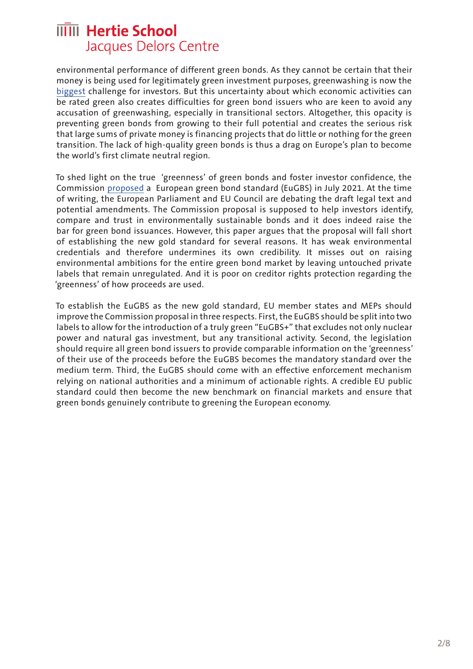environmental performance of different green bonds. As they cannot be certain that their money is being used for legitimately green investment purposes, greenwashing is now the [biggest](https://www.schroders.com/en/insights/economics/schroders-institutional-investor-study-optimism-surges-for-investment-returns-2021/) challenge for investors. But this uncertainty about which economic activities can be rated green also creates difficulties for green bond issuers who are keen to avoid any accusation of greenwashing, especially in transitional sectors. Altogether, this opacity is preventing green bonds from growing to their full potential and creates the serious risk that large sums of private money is financing projects that do little or nothing for the green transition. The lack of high-quality green bonds is thus a drag on Europe's plan to become the world's first climate neutral region.

To shed light on the true 'greenness' of green bonds and foster investor confidence, the Commission [proposed](https://eur-lex.europa.eu/legal-content/EN/TXT/?uri=CELEX:52021PC0391) a European green bond standard (EuGBS) in July 2021. At the time of writing, the European Parliament and EU Council are debating the draft legal text and potential amendments. The Commission proposal is supposed to help investors identify, compare and trust in environmentally sustainable bonds and it does indeed raise the bar for green bond issuances. However, this paper argues that the proposal will fall short of establishing the new gold standard for several reasons. It has weak environmental credentials and therefore undermines its own credibility. It misses out on raising environmental ambitions for the entire green bond market by leaving untouched private labels that remain unregulated. And it is poor on creditor rights protection regarding the 'greenness' of how proceeds are used.

To establish the EuGBS as the new gold standard, EU member states and MEPs should improve the Commission proposal in three respects. First, the EuGBS should be split into two labels to allow for the introduction of a truly green "EuGBS+" that excludes not only nuclear power and natural gas investment, but any transitional activity. Second, the legislation should require all green bond issuers to provide comparable information on the 'greenness' of their use of the proceeds before the EuGBS becomes the mandatory standard over the medium term. Third, the EuGBS should come with an effective enforcement mechanism relying on national authorities and a minimum of actionable rights. A credible EU public standard could then become the new benchmark on financial markets and ensure that green bonds genuinely contribute to greening the European economy.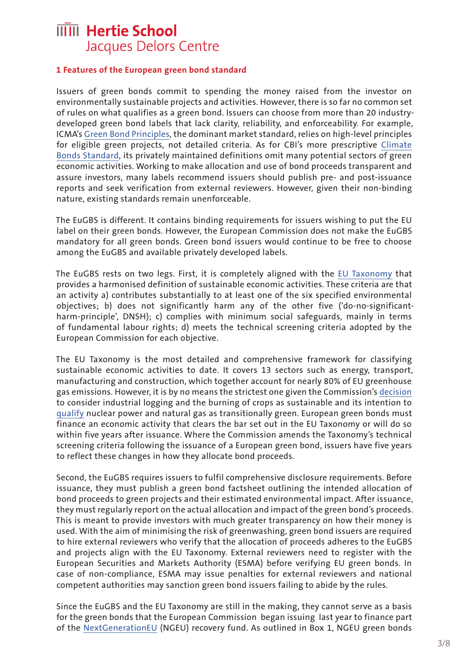#### **1 Features of the European green bond standard**

Issuers of green bonds commit to spending the money raised from the investor on environmentally sustainable projects and activities. However, there is so far no common set of rules on what qualifies as a green bond. Issuers can choose from more than 20 industrydeveloped green bond labels that lack clarity, reliability, and enforceability. For example, ICMA's [Green Bond Principles,](https://www.icmagroup.org/sustainable-finance/the-principles-guidelines-and-handbooks/green-bond-principles-gbp/) the dominant market standard, relies on high-level principles for eligible green projects, not detailed criteria. As for CBI's more prescriptive [Climate](https://www.climatebonds.net/standard/taxonomy)  [Bonds Standard,](https://www.climatebonds.net/standard/taxonomy) its privately maintained definitions omit many potential sectors of green economic activities. Working to make allocation and use of bond proceeds transparent and assure investors, many labels recommend issuers should publish pre- and post-issuance reports and seek verification from external reviewers. However, given their non-binding nature, existing standards remain unenforceable.

The EuGBS is different. It contains binding requirements for issuers wishing to put the EU label on their green bonds. However, the European Commission does not make the EuGBS mandatory for all green bonds. Green bond issuers would continue to be free to choose among the EuGBS and available privately developed labels.

The EuGBS rests on two legs. First, it is completely aligned with the [EU Taxonomy](https://ec.europa.eu/info/business-economy-euro/banking-and-finance/sustainable-finance/eu-taxonomy-sustainable-activities_en) that provides a harmonised definition of sustainable economic activities. These criteria are that an activity a) contributes substantially to at least one of the six specified environmental objectives; b) does not significantly harm any of the other five ('do-no-significantharm-principle', DNSH); c) complies with minimum social safeguards, mainly in terms of fundamental labour rights; d) meets the technical screening criteria adopted by the European Commission for each objective.

The EU Taxonomy is the most detailed and comprehensive framework for classifying sustainable economic activities to date. It covers 13 sectors such as energy, transport, manufacturing and construction, which together account for nearly 80% of EU greenhouse gas emissions. However, it is by no means the strictest one given the Commission's [decision](https://www.euractiv.com/section/energy-environment/news/ngos-walk-out-on-eu-green-finance-group-over-forestry-bioenergy-rules/)  to consider industrial logging and the burning of crops as sustainable and its intention to [qualify](https://ec.europa.eu/info/publications/220202-sustainable-finance-taxonomy-complementary-climate-delegated-act_en) nuclear power and natural gas as transitionally green. European green bonds must finance an economic activity that clears the bar set out in the EU Taxonomy or will do so within five years after issuance. Where the Commission amends the Taxonomy's technical screening criteria following the issuance of a European green bond, issuers have five years to reflect these changes in how they allocate bond proceeds.

Second, the EuGBS requires issuers to fulfil comprehensive disclosure requirements. Before issuance, they must publish a green bond factsheet outlining the intended allocation of bond proceeds to green projects and their estimated environmental impact. After issuance, they must regularly report on the actual allocation and impact of the green bond's proceeds. This is meant to provide investors with much greater transparency on how their money is used. With the aim of minimising the risk of greenwashing, green bond issuers are required to hire external reviewers who verify that the allocation of proceeds adheres to the EuGBS and projects align with the EU Taxonomy. External reviewers need to register with the European Securities and Markets Authority (ESMA) before verifying EU green bonds. In case of non-compliance, ESMA may issue penalties for external reviewers and national competent authorities may sanction green bond issuers failing to abide by the rules.

Since the EuGBS and the EU Taxonomy are still in the making, they cannot serve as a basis for the green bonds that the European Commission began issuing last year to finance part of the [NextGenerationEU](https://ec.europa.eu/info/strategy/recovery-plan-europe_en) (NGEU) recovery fund. As outlined in Box 1, NGEU green bonds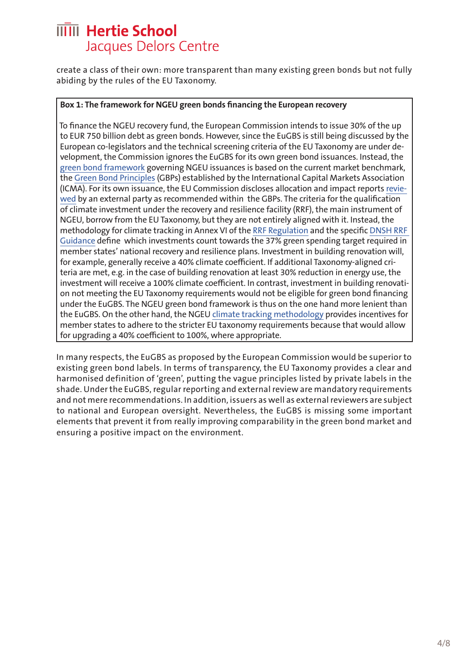create a class of their own: more transparent than many existing green bonds but not fully abiding by the rules of the EU Taxonomy.

#### **Box 1: The framework for NGEU green bonds financing the European recovery**

To finance the NGEU recovery fund, the European Commission intends to issue 30% of the up to EUR 750 billion debt as green bonds. However, since the EuGBS is still being discussed by the European co-legislators and the technical screening criteria of the EU Taxonomy are under development, the Commission ignores the EuGBS for its own green bond issuances. Instead, the [green bond framework](https://ec.europa.eu/info/sites/default/files/about_the_european_commission/eu_budget/nextgenerationeu_green_bond_framework.pdf) governing NGEU issuances is based on the current market benchmark, the [Green Bond Principles](https://www.icmagroup.org/sustainable-finance/the-principles-guidelines-and-handbooks/green-bond-principles-gbp/) (GBPs) established by the International Capital Markets Association (ICMA). For its own issuance, the EU Commission discloses allocation and impact reports [revie](https://ec.europa.eu/info/sites/default/files/about_the_european_commission/eu_budget/v.e._second_party_opinion_on_the_framework.pdf)[wed](https://ec.europa.eu/info/sites/default/files/about_the_european_commission/eu_budget/v.e._second_party_opinion_on_the_framework.pdf) by an external party as recommended within the GBPs. The criteria for the qualification of climate investment under the recovery and resilience facility (RRF), the main instrument of NGEU, borrow from the EU Taxonomy, but they are not entirely aligned with it. Instead, the methodology for climate tracking in Annex VI of the [RRF Regulation](https://eur-lex.europa.eu/legal-content/EN/TXT/?uri=CELEX%3A32021R0241) and the specific [DNSH RRF](https://ec.europa.eu/info/sites/default/files/c2021_1054_en.pdf)  [Guidance](https://ec.europa.eu/info/sites/default/files/c2021_1054_en.pdf) define which investments count towards the 37% green spending target required in member states' national recovery and resilience plans. Investment in building renovation will, for example, generally receive a 40% climate coefficient. If additional Taxonomy-aligned criteria are met, e.g. in the case of building renovation at least 30% reduction in energy use, the investment will receive a 100% climate coefficient. In contrast, investment in building renovation not meeting the EU Taxonomy requirements would not be eligible for green bond financing under the EuGBS. The NGEU green bond framework is thus on the one hand more lenient than the EuGBS. On the other hand, the NGEU [climate tracking methodology](https://ec.europa.eu/info/sites/default/files/about_the_european_commission/eu_budget/nextgenerationeu_green_bond_framework_-_annex_climate_coefficients.pdf) provides incentives for member states to adhere to the stricter EU taxonomy requirements because that would allow for upgrading a 40% coefficient to 100%, where appropriate.

In many respects, the EuGBS as proposed by the European Commission would be superior to existing green bond labels. In terms of transparency, the EU Taxonomy provides a clear and harmonised definition of 'green', putting the vague principles listed by private labels in the shade. Under the EuGBS, regular reporting and external review are mandatory requirements and not mere recommendations. In addition, issuers as well as external reviewers are subject to national and European oversight. Nevertheless, the EuGBS is missing some important elements that prevent it from really improving comparability in the green bond market and ensuring a positive impact on the environment.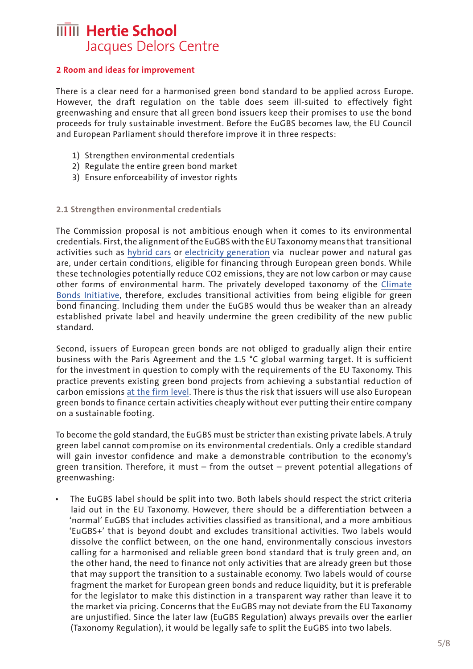### **2 Room and ideas for improvement**

There is a clear need for a harmonised green bond standard to be applied across Europe. However, the draft regulation on the table does seem ill-suited to effectively fight greenwashing and ensure that all green bond issuers keep their promises to use the bond proceeds for truly sustainable investment. Before the EuGBS becomes law, the EU Council and European Parliament should therefore improve it in three respects:

- 1) Strengthen environmental credentials
- 2) Regulate the entire green bond market
- 3) Ensure enforceability of investor rights

#### **2.1 Strengthen environmental credentials**

The Commission proposal is not ambitious enough when it comes to its environmental credentials. First, the alignment of the EuGBS with the EU Taxonomy means that transitional activities such as [hybrid cars](https://eur-lex.europa.eu/legal-content/EN/TXT/?uri=PI_COM:C(2021)2800) or [electricity generation](https://ec.europa.eu/info/publications/220202-sustainable-finance-taxonomy-complementary-climate-delegated-act_en) via nuclear power and natural gas are, under certain conditions, eligible for financing through European green bonds. While these technologies potentially reduce CO2 emissions, they are not low carbon or may cause other forms of environmental harm. The privately developed taxonomy of the [Climate](https://www.climatebonds.net/standard/taxonomy)  [Bonds Initiative,](https://www.climatebonds.net/standard/taxonomy) therefore, excludes transitional activities from being eligible for green bond financing. Including them under the EuGBS would thus be weaker than an already established private label and heavily undermine the green credibility of the new public standard.

Second, issuers of European green bonds are not obliged to gradually align their entire business with the Paris Agreement and the 1.5 °C global warming target. It is sufficient for the investment in question to comply with the requirements of the EU Taxonomy. This practice prevents existing green bond projects from achieving a substantial reduction of carbon emissions [at the firm level](https://www.bis.org/publ/qtrpdf/r_qt2009c.htm). There is thus the risk that issuers will use also European green bonds to finance certain activities cheaply without ever putting their entire company on a sustainable footing.

To become the gold standard, the EuGBS must be stricter than existing private labels. A truly green label cannot compromise on its environmental credentials. Only a credible standard will gain investor confidence and make a demonstrable contribution to the economy's green transition. Therefore, it must – from the outset – prevent potential allegations of greenwashing:

• The EuGBS label should be split into two. Both labels should respect the strict criteria laid out in the EU Taxonomy. However, there should be a differentiation between a 'normal' EuGBS that includes activities classified as transitional, and a more ambitious 'EuGBS+' that is beyond doubt and excludes transitional activities. Two labels would dissolve the conflict between, on the one hand, environmentally conscious investors calling for a harmonised and reliable green bond standard that is truly green and, on the other hand, the need to finance not only activities that are already green but those that may support the transition to a sustainable economy. Two labels would of course fragment the market for European green bonds and reduce liquidity, but it is preferable for the legislator to make this distinction in a transparent way rather than leave it to the market via pricing. Concerns that the EuGBS may not deviate from the EU Taxonomy are unjustified. Since the later law (EuGBS Regulation) always prevails over the earlier (Taxonomy Regulation), it would be legally safe to split the EuGBS into two labels.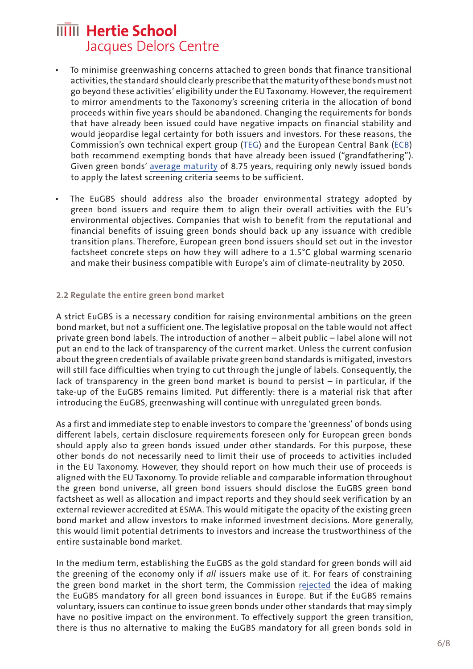- To minimise greenwashing concerns attached to green bonds that finance transitional activities, the standard should clearly prescribe that the maturity of these bonds must not go beyond these activities' eligibility under the EU Taxonomy. However, the requirement to mirror amendments to the Taxonomy's screening criteria in the allocation of bond proceeds within five years should be abandoned. Changing the requirements for bonds that have already been issued could have negative impacts on financial stability and would jeopardise legal certainty for both issuers and investors. For these reasons, the Commission's own technical expert group [\(TEG\)](https://ec.europa.eu/info/sites/default/files/business_economy_euro/banking_and_finance/documents/190618-sustainable-finance-teg-report-green-bond-standard_en.pdf) and the European Central Bank [\(ECB](https://eur-lex.europa.eu/legal-content/EN/TXT/?uri=CELEX%3A52021AB0030)) both recommend exempting bonds that have already been issued ("grandfathering"). Given green bonds' [average maturity](https://ec.europa.eu/jrc/sites/default/files/4_2_kapraun_paper.pdf) of 8.75 years, requiring only newly issued bonds to apply the latest screening criteria seems to be sufficient.
- The EuGBS should address also the broader environmental strategy adopted by green bond issuers and require them to align their overall activities with the EU's environmental objectives. Companies that wish to benefit from the reputational and financial benefits of issuing green bonds should back up any issuance with credible transition plans. Therefore, European green bond issuers should set out in the investor factsheet concrete steps on how they will adhere to a 1.5°C global warming scenario and make their business compatible with Europe's aim of climate-neutrality by 2050.

#### **2.2 Regulate the entire green bond market**

A strict EuGBS is a necessary condition for raising environmental ambitions on the green bond market, but not a sufficient one. The legislative proposal on the table would not affect private green bond labels. The introduction of another – albeit public – label alone will not put an end to the lack of transparency of the current market. Unless the current confusion about the green credentials of available private green bond standards is mitigated, investors will still face difficulties when trying to cut through the jungle of labels. Consequently, the lack of transparency in the green bond market is bound to persist – in particular, if the take-up of the EuGBS remains limited. Put differently: there is a material risk that after introducing the EuGBS, greenwashing will continue with unregulated green bonds.

As a first and immediate step to enable investors to compare the 'greenness' of bonds using different labels, certain disclosure requirements foreseen only for European green bonds should apply also to green bonds issued under other standards. For this purpose, these other bonds do not necessarily need to limit their use of proceeds to activities included in the EU Taxonomy. However, they should report on how much their use of proceeds is aligned with the EU Taxonomy. To provide reliable and comparable information throughout the green bond universe, all green bond issuers should disclose the EuGBS green bond factsheet as well as allocation and impact reports and they should seek verification by an external reviewer accredited at ESMA. This would mitigate the opacity of the existing green bond market and allow investors to make informed investment decisions. More generally, this would limit potential detriments to investors and increase the trustworthiness of the entire sustainable bond market.

In the medium term, establishing the EuGBS as the gold standard for green bonds will aid the greening of the economy only if *all* issuers make use of it. For fears of constraining the green bond market in the short term, the Commission [rejected](https://eur-lex.europa.eu/legal-content/EN/TXT/?uri=CELEX:52021SC0181) the idea of making the EuGBS mandatory for all green bond issuances in Europe. But if the EuGBS remains voluntary, issuers can continue to issue green bonds under other standards that may simply have no positive impact on the environment. To effectively support the green transition, there is thus no alternative to making the EuGBS mandatory for all green bonds sold in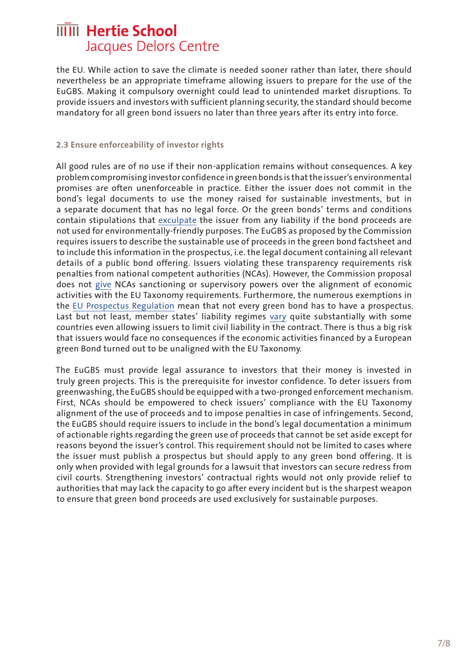the EU. While action to save the climate is needed sooner rather than later, there should nevertheless be an appropriate timeframe allowing issuers to prepare for the use of the EuGBS. Making it compulsory overnight could lead to unintended market disruptions. To provide issuers and investors with sufficient planning security, the standard should become mandatory for all green bond issuers no later than three years after its entry into force.

#### **2.3 Ensure enforceability of investor rights**

All good rules are of no use if their non-application remains without consequences. A key problem compromising investor confidence in green bonds is that the issuer's environmental promises are often unenforceable in practice. Either the issuer does not commit in the bond's legal documents to use the money raised for sustainable investments, but in a separate document that has no legal force. Or the green bonds' terms and conditions contain stipulations that [exculpate](https://www.researchgate.net/publication/343702208_Green_Bonds_Between_economic_incentives_and_eco-change) the issuer from any liability if the bond proceeds are not used for environmentally-friendly purposes. The EuGBS as proposed by the Commission requires issuers to describe the sustainable use of proceeds in the green bond factsheet and to include this information in the prospectus, i.e. the legal document containing all relevant details of a public bond offering. Issuers violating these transparency requirements risk penalties from national competent authorities (NCAs). However, the Commission proposal does not [give](https://eur-lex.europa.eu/legal-content/EN/TXT/?uri=CELEX%3A52021AB0030) NCAs sanctioning or supervisory powers over the alignment of economic activities with the EU Taxonomy requirements. Furthermore, the numerous exemptions in the [EU Prospectus Regulation](https://eur-lex.europa.eu/legal-content/EN/TXT/?uri=celex:32017R1129) mean that not every green bond has to have a prospectus. Last but not least, member states' liability regimes [vary](https://www.esma.europa.eu/sites/default/files/library/2015/11/2013-619_report_liability_regimes_under_the_prospectus_directive_published_on_website.pdf) quite substantially with some countries even allowing issuers to limit civil liability in the contract. There is thus a big risk that issuers would face no consequences if the economic activities financed by a European green Bond turned out to be unaligned with the EU Taxonomy.

The EuGBS must provide legal assurance to investors that their money is invested in truly green projects. This is the prerequisite for investor confidence. To deter issuers from greenwashing, the EuGBS should be equipped with a two-pronged enforcement mechanism. First, NCAs should be empowered to check issuers' compliance with the EU Taxonomy alignment of the use of proceeds and to impose penalties in case of infringements. Second, the EuGBS should require issuers to include in the bond's legal documentation a minimum of actionable rights regarding the green use of proceeds that cannot be set aside except for reasons beyond the issuer's control. This requirement should not be limited to cases where the issuer must publish a prospectus but should apply to any green bond offering. It is only when provided with legal grounds for a lawsuit that investors can secure redress from civil courts. Strengthening investors' contractual rights would not only provide relief to authorities that may lack the capacity to go after every incident but is the sharpest weapon to ensure that green bond proceeds are used exclusively for sustainable purposes.